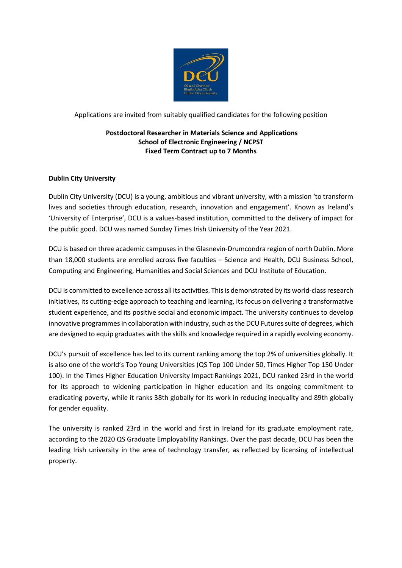

Applications are invited from suitably qualified candidates for the following position

## **Postdoctoral Researcher in Materials Science and Applications School of Electronic Engineering / NCPST Fixed Term Contract up to 7 Months**

# **Dublin City University**

Dublin City University (DCU) is a young, ambitious and vibrant university, with a mission 'to transform lives and societies through education, research, innovation and engagement'. Known as Ireland's 'University of Enterprise', DCU is a values-based institution, committed to the delivery of impact for the public good. DCU was named Sunday Times Irish University of the Year 2021.

DCU is based on three academic campuses in the Glasnevin-Drumcondra region of north Dublin. More than 18,000 students are enrolled across five faculties – Science and Health, DCU Business School, Computing and Engineering, Humanities and Social Sciences and DCU Institute of Education.

DCU is committed to excellence across all its activities. This is demonstrated by its world-class research initiatives, its cutting-edge approach to teaching and learning, its focus on delivering a transformative student experience, and its positive social and economic impact. The university continues to develop innovative programmes in collaboration with industry, such as the DCU Futures suite of degrees, which are designed to equip graduates with the skills and knowledge required in a rapidly evolving economy.

DCU's pursuit of excellence has led to its current ranking among the top 2% of universities globally. It is also one of the world's Top Young Universities (QS Top 100 Under 50, Times Higher Top 150 Under 100). In the Times Higher Education University Impact Rankings 2021, DCU ranked 23rd in the world for its approach to widening participation in higher education and its ongoing commitment to eradicating poverty, while it ranks 38th globally for its work in reducing inequality and 89th globally for gender equality.

The university is ranked 23rd in the world and first in Ireland for its graduate employment rate, according to the 2020 QS Graduate Employability Rankings. Over the past decade, DCU has been the leading Irish university in the area of technology transfer, as reflected by licensing of intellectual property.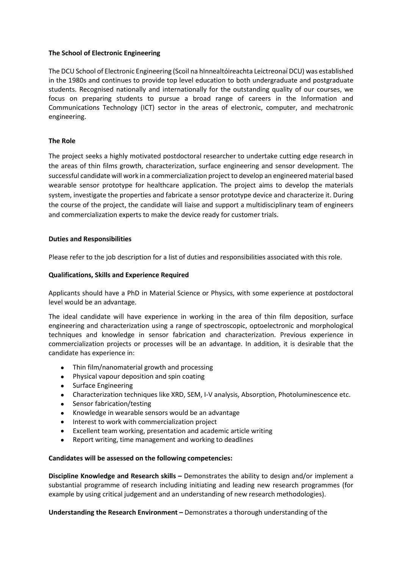#### **The School of Electronic Engineering**

The DCU School of Electronic Engineering (Scoil na hInnealtóireachta Leictreonaí DCU) was established in the 1980s and continues to provide top level education to both undergraduate and postgraduate students. Recognised nationally and internationally for the outstanding quality of our courses, we focus on preparing students to pursue a broad range of careers in the Information and Communications Technology (ICT) sector in the areas of electronic, computer, and mechatronic engineering.

### **The Role**

The project seeks a highly motivated postdoctoral researcher to undertake cutting edge research in the areas of thin films growth, characterization, surface engineering and sensor development. The successful candidate will work in a commercialization project to develop an engineered material based wearable sensor prototype for healthcare application. The project aims to develop the materials system, investigate the properties and fabricate a sensor prototype device and characterize it. During the course of the project, the candidate will liaise and support a multidisciplinary team of engineers and commercialization experts to make the device ready for customer trials.

### **Duties and Responsibilities**

Please refer to the job description for a list of duties and responsibilities associated with this role.

### **Qualifications, Skills and Experience Required**

Applicants should have a PhD in Material Science or Physics, with some experience at postdoctoral level would be an advantage.

The ideal candidate will have experience in working in the area of thin film deposition, surface engineering and characterization using a range of spectroscopic, optoelectronic and morphological techniques and knowledge in sensor fabrication and characterization. Previous experience in commercialization projects or processes will be an advantage. In addition, it is desirable that the candidate has experience in:

- Thin film/nanomaterial growth and processing
- Physical vapour deposition and spin coating
- Surface Engineering
- Characterization techniques like XRD, SEM, I-V analysis, Absorption, Photoluminescence etc.
- Sensor fabrication/testing
- Knowledge in wearable sensors would be an advantage
- Interest to work with commercialization project
- Excellent team working, presentation and academic article writing
- Report writing, time management and working to deadlines

#### **Candidates will be assessed on the following competencies:**

**Discipline Knowledge and Research skills –** Demonstrates the ability to design and/or implement a substantial programme of research including initiating and leading new research programmes (for example by using critical judgement and an understanding of new research methodologies).

**Understanding the Research Environment –** Demonstrates a thorough understanding of the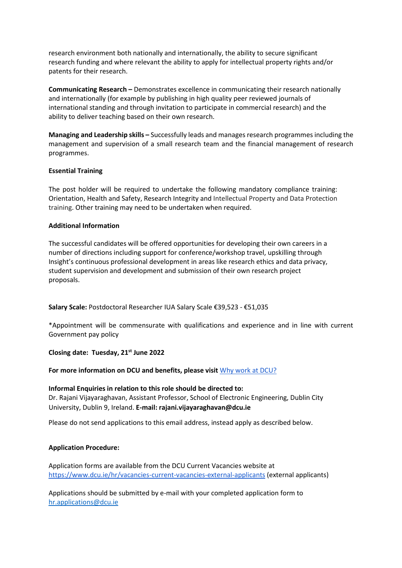research environment both nationally and internationally, the ability to secure significant research funding and where relevant the ability to apply for intellectual property rights and/or patents for their research.

**Communicating Research –** Demonstrates excellence in communicating their research nationally and internationally (for example by publishing in high quality peer reviewed journals of international standing and through invitation to participate in commercial research) and the ability to deliver teaching based on their own research.

**Managing and Leadership skills –** Successfully leads and manages research programmes including the management and supervision of a small research team and the financial management of research programmes.

#### **Essential Training**

The post holder will be required to undertake the following mandatory compliance training: Orientation, Health and Safety, Research Integrity and Intellectual Property and Data Protection training. Other training may need to be undertaken when required.

### **Additional Information**

The successful candidates will be offered opportunities for developing their own careers in a number of directions including support for conference/workshop travel, upskilling through Insight's continuous professional development in areas like research ethics and data privacy, student supervision and development and submission of their own research project proposals.

**Salary Scale:** Postdoctoral Researcher IUA Salary Scale €39,523 - €51,035

\*Appointment will be commensurate with qualifications and experience and in line with current Government pay policy

**Closing date: Tuesday, 21st June 2022**

**For more information on DCU and benefits, please visit** Why [work at DCU?](https://www.dcu.ie/hr/why-work-dcu)

**Informal Enquiries in relation to this role should be directed to:** Dr. Rajani Vijayaraghavan, Assistant Professor, School of Electronic Engineering, Dublin City University, Dublin 9, Ireland. **E-mail[: rajani.vijayaraghavan@dcu.ie](mailto:rajani.vijayaraghavan@dcu.ie)**

Please do not send applications to this email address, instead apply as described below.

# **Application Procedure:**

Application forms are available from the DCU Current Vacancies website at <https://www.dcu.ie/hr/vacancies-current-vacancies-external-applicants> (external applicants)

Applications should be submitted by e-mail with your completed application form to [hr.applications@dcu.ie](mailto:hr.applications@dcu.ie)